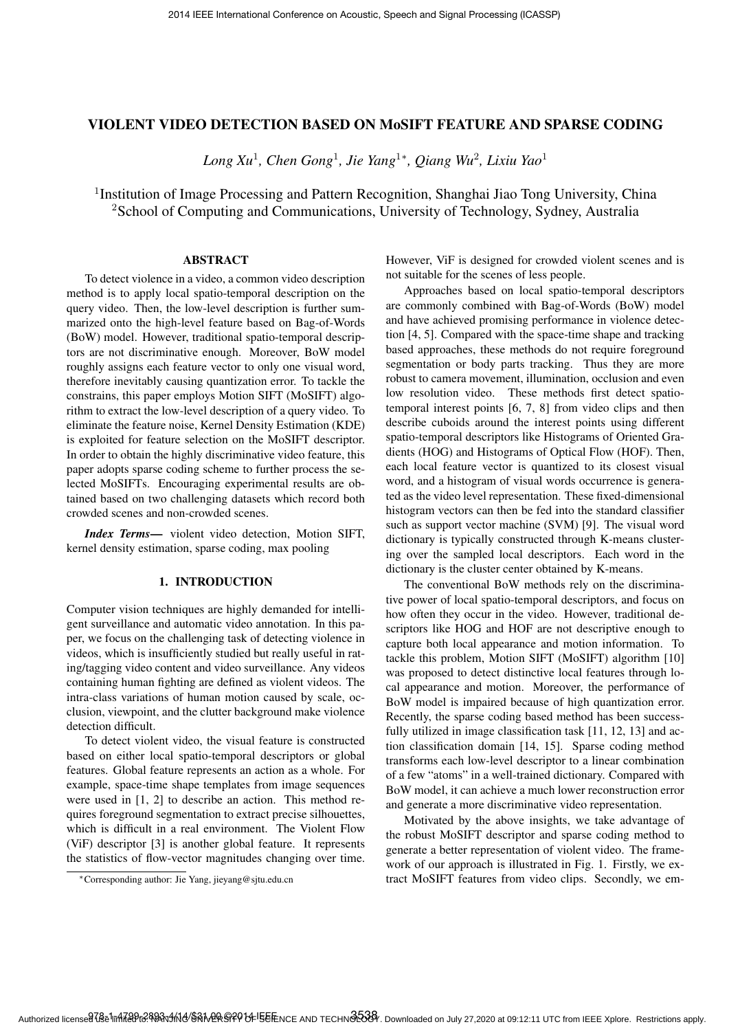# VIOLENT VIDEO DETECTION BASED ON MoSIFT FEATURE AND SPARSE CODING

*Long Xu*<sup>1</sup>*, Chen Gong*<sup>1</sup>*, Jie Yang*<sup>1</sup>∗*, Qiang Wu*<sup>2</sup>*, Lixiu Yao*<sup>1</sup>

<sup>1</sup>Institution of Image Processing and Pattern Recognition, Shanghai Jiao Tong University, China <sup>2</sup>School of Computing and Communications, University of Technology, Sydney, Australia

#### ABSTRACT

To detect violence in a video, a common video description method is to apply local spatio-temporal description on the query video. Then, the low-level description is further summarized onto the high-level feature based on Bag-of-Words (BoW) model. However, traditional spatio-temporal descriptors are not discriminative enough. Moreover, BoW model roughly assigns each feature vector to only one visual word, therefore inevitably causing quantization error. To tackle the constrains, this paper employs Motion SIFT (MoSIFT) algorithm to extract the low-level description of a query video. To eliminate the feature noise, Kernel Density Estimation (KDE) is exploited for feature selection on the MoSIFT descriptor. In order to obtain the highly discriminative video feature, this paper adopts sparse coding scheme to further process the selected MoSIFTs. Encouraging experimental results are obtained based on two challenging datasets which record both crowded scenes and non-crowded scenes.

*Index Terms*— violent video detection, Motion SIFT, kernel density estimation, sparse coding, max pooling

# 1. INTRODUCTION

Computer vision techniques are highly demanded for intelligent surveillance and automatic video annotation. In this paper, we focus on the challenging task of detecting violence in videos, which is insufficiently studied but really useful in rating/tagging video content and video surveillance. Any videos containing human fighting are defined as violent videos. The intra-class variations of human motion caused by scale, occlusion, viewpoint, and the clutter background make violence detection difficult.

To detect violent video, the visual feature is constructed based on either local spatio-temporal descriptors or global features. Global feature represents an action as a whole. For example, space-time shape templates from image sequences were used in [1, 2] to describe an action. This method requires foreground segmentation to extract precise silhouettes, which is difficult in a real environment. The Violent Flow (ViF) descriptor [3] is another global feature. It represents the statistics of flow-vector magnitudes changing over time.

However, ViF is designed for crowded violent scenes and is not suitable for the scenes of less people.

Approaches based on local spatio-temporal descriptors are commonly combined with Bag-of-Words (BoW) model and have achieved promising performance in violence detection [4, 5]. Compared with the space-time shape and tracking based approaches, these methods do not require foreground segmentation or body parts tracking. Thus they are more robust to camera movement, illumination, occlusion and even low resolution video. These methods first detect spatiotemporal interest points [6, 7, 8] from video clips and then describe cuboids around the interest points using different spatio-temporal descriptors like Histograms of Oriented Gradients (HOG) and Histograms of Optical Flow (HOF). Then, each local feature vector is quantized to its closest visual word, and a histogram of visual words occurrence is generated as the video level representation. These fixed-dimensional histogram vectors can then be fed into the standard classifier such as support vector machine (SVM) [9]. The visual word dictionary is typically constructed through K-means clustering over the sampled local descriptors. Each word in the dictionary is the cluster center obtained by K-means.

The conventional BoW methods rely on the discriminative power of local spatio-temporal descriptors, and focus on how often they occur in the video. However, traditional descriptors like HOG and HOF are not descriptive enough to capture both local appearance and motion information. To tackle this problem, Motion SIFT (MoSIFT) algorithm [10] was proposed to detect distinctive local features through local appearance and motion. Moreover, the performance of BoW model is impaired because of high quantization error. Recently, the sparse coding based method has been successfully utilized in image classification task [11, 12, 13] and action classification domain [14, 15]. Sparse coding method transforms each low-level descriptor to a linear combination of a few "atoms" in a well-trained dictionary. Compared with BoW model, it can achieve a much lower reconstruction error and generate a more discriminative video representation.

Motivated by the above insights, we take advantage of the robust MoSIFT descriptor and sparse coding method to generate a better representation of violent video. The framework of our approach is illustrated in Fig. 1. Firstly, we extract MoSIFT features from video clips. Secondly, we em-

<sup>∗</sup>Corresponding author: Jie Yang, jieyang@sjtu.edu.cn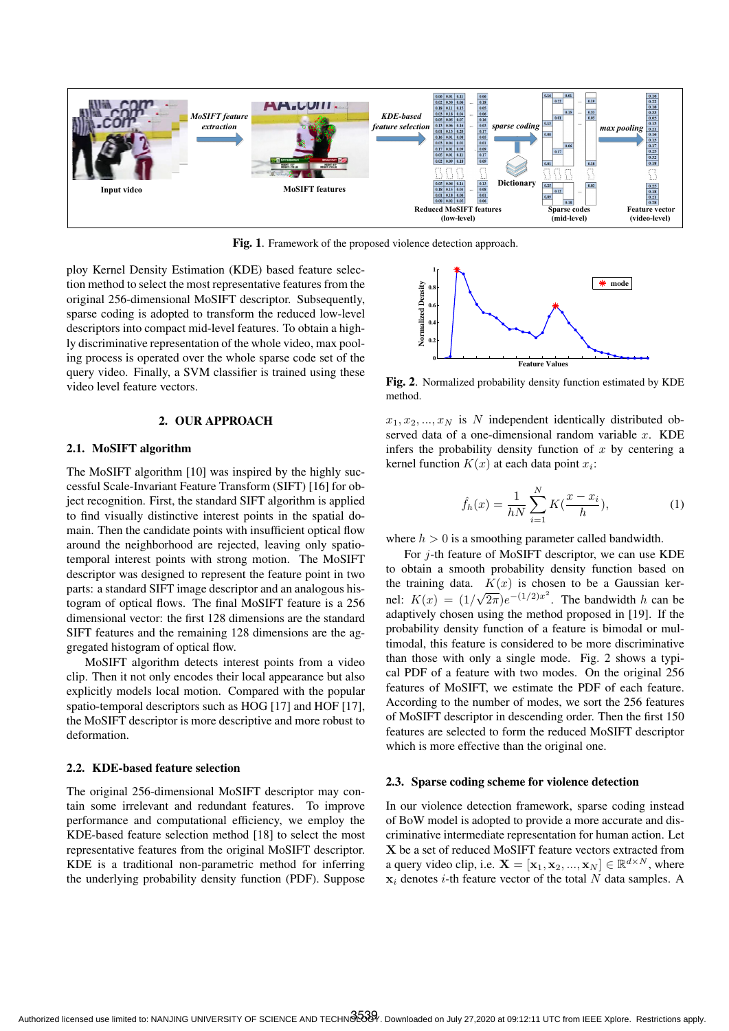

Fig. 1. Framework of the proposed violence detection approach.

ploy Kernel Density Estimation (KDE) based feature selection method to select the most representative features from the original 256-dimensional MoSIFT descriptor. Subsequently, sparse coding is adopted to transform the reduced low-level descriptors into compact mid-level features. To obtain a highly discriminative representation of the whole video, max pooling process is operated over the whole sparse code set of the query video. Finally, a SVM classifier is trained using these video level feature vectors.

# 2. OUR APPROACH

## 2.1. MoSIFT algorithm

The MoSIFT algorithm [10] was inspired by the highly successful Scale-Invariant Feature Transform (SIFT) [16] for object recognition. First, the standard SIFT algorithm is applied to find visually distinctive interest points in the spatial domain. Then the candidate points with insufficient optical flow around the neighborhood are rejected, leaving only spatiotemporal interest points with strong motion. The MoSIFT descriptor was designed to represent the feature point in two parts: a standard SIFT image descriptor and an analogous histogram of optical flows. The final MoSIFT feature is a 256 dimensional vector: the first 128 dimensions are the standard SIFT features and the remaining 128 dimensions are the aggregated histogram of optical flow.

MoSIFT algorithm detects interest points from a video clip. Then it not only encodes their local appearance but also explicitly models local motion. Compared with the popular spatio-temporal descriptors such as HOG [17] and HOF [17], the MoSIFT descriptor is more descriptive and more robust to deformation.

#### 2.2. KDE-based feature selection

The original 256-dimensional MoSIFT descriptor may contain some irrelevant and redundant features. To improve performance and computational efficiency, we employ the KDE-based feature selection method [18] to select the most representative features from the original MoSIFT descriptor. KDE is a traditional non-parametric method for inferring the underlying probability density function (PDF). Suppose



Fig. 2. Normalized probability density function estimated by KDE method.

 $x_1, x_2, ..., x_N$  is N independent identically distributed observed data of a one-dimensional random variable  $x$ . KDE infers the probability density function of  $x$  by centering a kernel function  $K(x)$  at each data point  $x_i$ :

$$
\hat{f}_h(x) = \frac{1}{hN} \sum_{i=1}^{N} K(\frac{x - x_i}{h}),
$$
\n(1)

where  $h > 0$  is a smoothing parameter called bandwidth.

For  $j$ -th feature of MoSIFT descriptor, we can use KDE to obtain a smooth probability density function based on the training data.  $K(x)$  is chosen to be a Gaussian kernel:  $K(x) = (1/\sqrt{2\pi})e^{-(1/2)x^2}$ . The bandwidth h can be adaptively chosen using the method proposed in [10]. If the adaptively chosen using the method proposed in [19]. If the probability density function of a feature is bimodal or multimodal, this feature is considered to be more discriminative than those with only a single mode. Fig. 2 shows a typical PDF of a feature with two modes. On the original 256 features of MoSIFT, we estimate the PDF of each feature. According to the number of modes, we sort the 256 features of MoSIFT descriptor in descending order. Then the first 150 features are selected to form the reduced MoSIFT descriptor which is more effective than the original one.

#### 2.3. Sparse coding scheme for violence detection

In our violence detection framework, sparse coding instead of BoW model is adopted to provide a more accurate and discriminative intermediate representation for human action. Let **X** be a set of reduced MoSIFT feature vectors extracted from a query video clip, i.e.  $\mathbf{X} = [\mathbf{x}_1, \mathbf{x}_2, ..., \mathbf{x}_N] \in \mathbb{R}^{d \times N}$ , where  $x_i$  denotes *i*-th feature vector of the total N data samples. A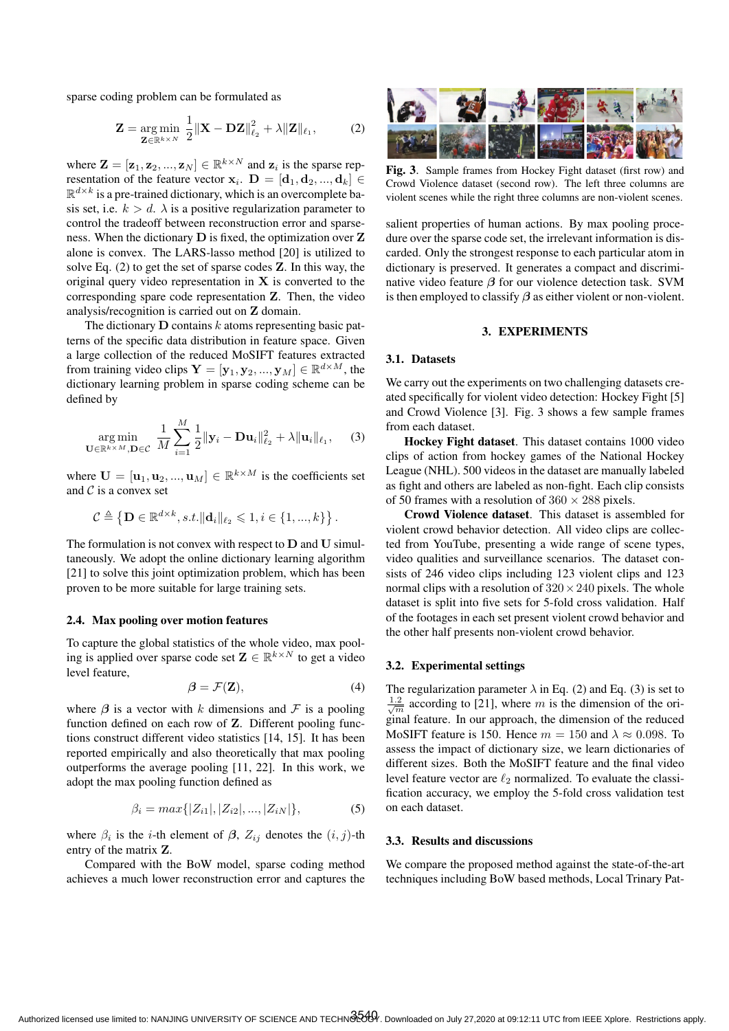sparse coding problem can be formulated as

$$
\mathbf{Z} = \underset{\mathbf{Z} \in \mathbb{R}^{k \times N}}{\arg \min} \frac{1}{2} ||\mathbf{X} - \mathbf{D}\mathbf{Z}||_{\ell_2}^2 + \lambda ||\mathbf{Z}||_{\ell_1},\tag{2}
$$

where  $\mathbf{Z} = [\mathbf{z}_1, \mathbf{z}_2, ..., \mathbf{z}_N] \in \mathbb{R}^{k \times N}$  and  $\mathbf{z}_i$  is the sparse representation of the feature vector  $\mathbf{x}_i$ .  $\mathbf{D} = [\mathbf{d}_1, \mathbf{d}_2, ..., \mathbf{d}_k] \in$  $\mathbb{R}^{d \times k}$  is a pre-trained dictionary, which is an overcomplete basis set, i.e.  $k > d$ .  $\lambda$  is a positive regularization parameter to control the tradeoff between reconstruction error and sparseness. When the dictionary **D** is fixed, the optimization over **Z** alone is convex. The LARS-lasso method [20] is utilized to solve Eq. (2) to get the set of sparse codes **Z**. In this way, the original query video representation in **X** is converted to the corresponding spare code representation **Z**. Then, the video analysis/recognition is carried out on **Z** domain.

The dictionary  $D$  contains  $k$  atoms representing basic patterns of the specific data distribution in feature space. Given a large collection of the reduced MoSIFT features extracted from training video clips  $\mathbf{Y} = [\mathbf{y}_1, \mathbf{y}_2, ..., \mathbf{y}_M] \in \mathbb{R}^{d \times M}$ , the dictionary learning problem in sparse coding scheme can be defined by

$$
\underset{\mathbf{U}\in\mathbb{R}^{k\times M},\mathbf{D}\in\mathcal{C}}{\arg\min} \ \frac{1}{M} \sum_{i=1}^{M} \frac{1}{2} \|\mathbf{y}_{i} - \mathbf{D}\mathbf{u}_{i}\|_{\ell_{2}}^{2} + \lambda \|\mathbf{u}_{i}\|_{\ell_{1}}, \quad (3)
$$

where  $\mathbf{U} = [\mathbf{u}_1, \mathbf{u}_2, ..., \mathbf{u}_M] \in \mathbb{R}^{k \times M}$  is the coefficients set and  $\mathcal C$  is a convex set

$$
\mathcal{C} \triangleq \left\{ \mathbf{D} \in \mathbb{R}^{d \times k}, s.t. ||\mathbf{d}_i||_{\ell_2} \leqslant 1, i \in \{1, ..., k\} \right\}.
$$

The formulation is not convex with respect to **D** and **U** simultaneously. We adopt the online dictionary learning algorithm [21] to solve this joint optimization problem, which has been proven to be more suitable for large training sets.

### 2.4. Max pooling over motion features

To capture the global statistics of the whole video, max pooling is applied over sparse code set  $\mathbf{Z} \in \mathbb{R}^{k \times N}$  to get a video level feature,

$$
\beta = \mathcal{F}(\mathbf{Z}),\tag{4}
$$

where  $\beta$  is a vector with k dimensions and F is a pooling function defined on each row of **Z**. Different pooling functions construct different video statistics [14, 15]. It has been reported empirically and also theoretically that max pooling outperforms the average pooling [11, 22]. In this work, we adopt the max pooling function defined as

$$
\beta_i = max\{|Z_{i1}|, |Z_{i2}|, ..., |Z_{iN}|\},\tag{5}
$$

where  $\beta_i$  is the *i*-th element of  $\beta$ ,  $Z_{ij}$  denotes the  $(i, j)$ -th entry of the matrix **Z**.

Compared with the BoW model, sparse coding method achieves a much lower reconstruction error and captures the



Fig. 3. Sample frames from Hockey Fight dataset (first row) and Crowd Violence dataset (second row). The left three columns are violent scenes while the right three columns are non-violent scenes.

salient properties of human actions. By max pooling procedure over the sparse code set, the irrelevant information is discarded. Only the strongest response to each particular atom in dictionary is preserved. It generates a compact and discriminative video feature *β* for our violence detection task. SVM is then employed to classify  $\beta$  as either violent or non-violent.

# 3. EXPERIMENTS

#### 3.1. Datasets

We carry out the experiments on two challenging datasets created specifically for violent video detection: Hockey Fight [5] and Crowd Violence [3]. Fig. 3 shows a few sample frames from each dataset.

Hockey Fight dataset. This dataset contains 1000 video clips of action from hockey games of the National Hockey League (NHL). 500 videos in the dataset are manually labeled as fight and others are labeled as non-fight. Each clip consists of 50 frames with a resolution of  $360 \times 288$  pixels.

Crowd Violence dataset. This dataset is assembled for violent crowd behavior detection. All video clips are collected from YouTube, presenting a wide range of scene types, video qualities and surveillance scenarios. The dataset consists of 246 video clips including 123 violent clips and 123 normal clips with a resolution of  $320 \times 240$  pixels. The whole dataset is split into five sets for 5-fold cross validation. Half of the footages in each set present violent crowd behavior and the other half presents non-violent crowd behavior.

## 3.2. Experimental settings

The regularization parameter  $\lambda$  in Eq. (2) and Eq. (3) is set to  $\frac{1.2}{\sqrt{m}}$  according to [21], where m is the dimension of the original feature. In our approach, the dimension of the reduced MoSIFT feature is 150. Hence  $m = 150$  and  $\lambda \approx 0.098$ . To assess the impact of dictionary size, we learn dictionaries of different sizes. Both the MoSIFT feature and the final video level feature vector are  $\ell_2$  normalized. To evaluate the classification accuracy, we employ the 5-fold cross validation test on each dataset.

## 3.3. Results and discussions

We compare the proposed method against the state-of-the-art techniques including BoW based methods, Local Trinary Pat-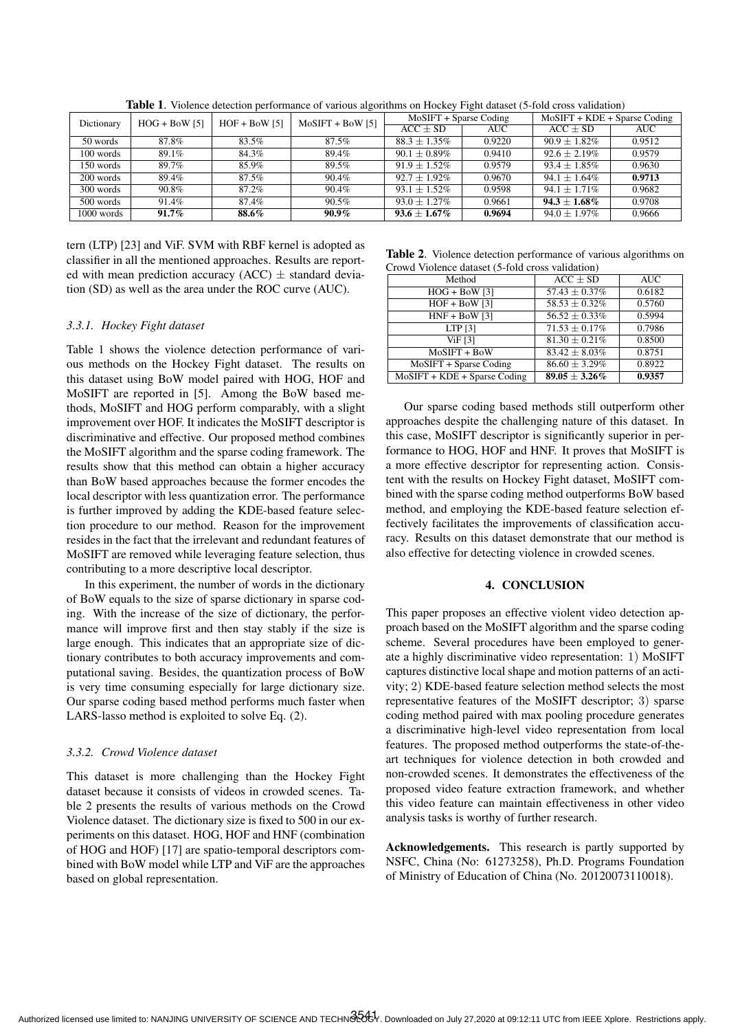| Dictionary   | $HOG + BoW [5]$ | $HOF + BoW [5]$ | $MoSIFT + BoW [5]$ | $MoSIFT + Sparse Coding$ |            | $MoSIFT + KDE + Sparse Coding$ |            |
|--------------|-----------------|-----------------|--------------------|--------------------------|------------|--------------------------------|------------|
|              |                 |                 |                    | $ACC \pm SD$             | <b>AUC</b> | $ACC \pm SD$                   | <b>AUC</b> |
| 50 words     | 87.8%           | 83.5%           | 87.5%              | $88.3 + 1.35\%$          | 0.9220     | $90.9 + 1.82\%$                | 0.9512     |
| 100 words    | 89.1%           | 84.3%           | 89.4%              | $90.1 \pm 0.89\%$        | 0.9410     | $92.6 \pm 2.19\%$              | 0.9579     |
| 150 words    | 89.7%           | 85.9%           | 89.5%              | $91.9 + 1.52\%$          | 0.9579     | $93.4 \pm 1.85\%$              | 0.9630     |
| 200 words    | 89.4%           | 87.5%           | 90.4%              | $92.7 \pm 1.92\%$        | 0.9670     | $94.1 + 1.64\%$                | 0.9713     |
| 300 words    | 90.8%           | 87.2%           | 90.4%              | $93.1 + 1.52\%$          | 0.9598     | $94.1 + 1.71\%$                | 0.9682     |
| 500 words    | 91.4%           | 87.4%           | 90.5%              | $93.0 + 1.27\%$          | 0.9661     | $94.3 \pm 1.68\%$              | 0.9708     |
| $1000$ words | $91.7\%$        | 88.6%           | $90.9\%$           | $93.6 \pm 1.67\%$        | 0.9694     | $94.0 + 1.97\%$                | 0.9666     |

Table 1. Violence detection performance of various algorithms on Hockey Fight dataset (5-fold cross validation)

tern (LTP) [23] and ViF. SVM with RBF kernel is adopted as classifier in all the mentioned approaches. Results are reported with mean prediction accuracy (ACC)  $\pm$  standard deviation (SD) as well as the area under the ROC curve (AUC).

### *3.3.1. Hockey Fight dataset*

Table 1 shows the violence detection performance of various methods on the Hockey Fight dataset. The results on this dataset using BoW model paired with HOG, HOF and MoSIFT are reported in [5]. Among the BoW based methods, MoSIFT and HOG perform comparably, with a slight improvement over HOF. It indicates the MoSIFT descriptor is discriminative and effective. Our proposed method combines the MoSIFT algorithm and the sparse coding framework. The results show that this method can obtain a higher accuracy than BoW based approaches because the former encodes the local descriptor with less quantization error. The performance is further improved by adding the KDE-based feature selection procedure to our method. Reason for the improvement resides in the fact that the irrelevant and redundant features of MoSIFT are removed while leveraging feature selection, thus contributing to a more descriptive local descriptor.

In this experiment, the number of words in the dictionary of BoW equals to the size of sparse dictionary in sparse coding. With the increase of the size of dictionary, the performance will improve first and then stay stably if the size is large enough. This indicates that an appropriate size of dictionary contributes to both accuracy improvements and computational saving. Besides, the quantization process of BoW is very time consuming especially for large dictionary size. Our sparse coding based method performs much faster when LARS-lasso method is exploited to solve Eq. (2).

## *3.3.2. Crowd Violence dataset*

This dataset is more challenging than the Hockey Fight dataset because it consists of videos in crowded scenes. Table 2 presents the results of various methods on the Crowd Violence dataset. The dictionary size is fixed to 500 in our experiments on this dataset. HOG, HOF and HNF (combination of HOG and HOF) [17] are spatio-temporal descriptors combined with BoW model while LTP and ViF are the approaches based on global representation.

Table 2. Violence detection performance of various algorithms on Crowd Violence dataset (5-fold cross validation)

| Method                         | $ACC \pm SD$       | <b>AUC</b> |
|--------------------------------|--------------------|------------|
| $HOG + BoW [3]$                | $57.43 \pm 0.37\%$ | 0.6182     |
| $HOF + BoW [3]$                | $58.53 \pm 0.32\%$ | 0.5760     |
| $HNF + BoW [3]$                | $56.52 \pm 0.33\%$ | 0.5994     |
| LTP[3]                         | $71.53 \pm 0.17\%$ | 0.7986     |
| <b>ViF</b> [3]                 | $81.30 \pm 0.21\%$ | 0.8500     |
| $MoSIFT + BoW$                 | $83.42 \pm 8.03\%$ | 0.8751     |
| MoSIFT + Sparse Coding         | $86.60 \pm 3.29\%$ | 0.8922     |
| $MoSIFT + KDE + Sparse Coding$ | $89.05 \pm 3.26\%$ | 0.9357     |

Our sparse coding based methods still outperform other approaches despite the challenging nature of this dataset. In this case, MoSIFT descriptor is significantly superior in performance to HOG, HOF and HNF. It proves that MoSIFT is a more effective descriptor for representing action. Consistent with the results on Hockey Fight dataset, MoSIFT combined with the sparse coding method outperforms BoW based method, and employing the KDE-based feature selection effectively facilitates the improvements of classification accuracy. Results on this dataset demonstrate that our method is also effective for detecting violence in crowded scenes.

# 4. CONCLUSION

This paper proposes an effective violent video detection approach based on the MoSIFT algorithm and the sparse coding scheme. Several procedures have been employed to generate a highly discriminative video representation: 1) MoSIFT captures distinctive local shape and motion patterns of an activity; 2) KDE-based feature selection method selects the most representative features of the MoSIFT descriptor; 3) sparse coding method paired with max pooling procedure generates a discriminative high-level video representation from local features. The proposed method outperforms the state-of-theart techniques for violence detection in both crowded and non-crowded scenes. It demonstrates the effectiveness of the proposed video feature extraction framework, and whether this video feature can maintain effectiveness in other video analysis tasks is worthy of further research.

Acknowledgements. This research is partly supported by NSFC, China (No: 61273258), Ph.D. Programs Foundation of Ministry of Education of China (No. 20120073110018).